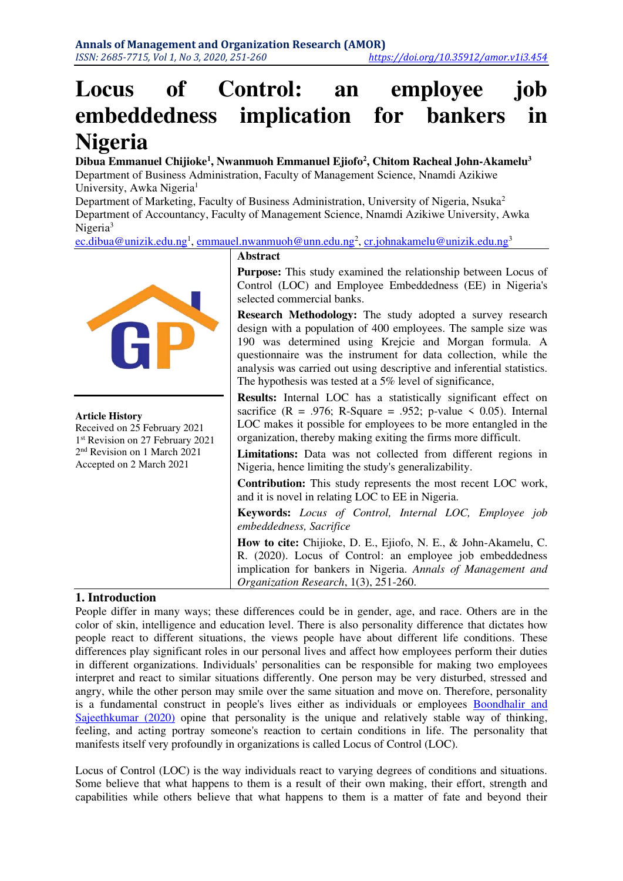# **Locus of Control: an employee job embeddedness implication for bankers in Nigeria**

**Dibua Emmanuel Chijioke<sup>1</sup> , Nwanmuoh Emmanuel Ejiofo<sup>2</sup> , Chitom Racheal John-Akamelu<sup>3</sup>** Department of Business Administration, Faculty of Management Science, Nnamdi Azikiwe University, Awka Nigeria<sup>1</sup>

Department of Marketing, Faculty of Business Administration, University of Nigeria, Nsuka<sup>2</sup> Department of Accountancy, Faculty of Management Science, Nnamdi Azikiwe University, Awka Nigeria<sup>3</sup>

<u>[ec.dibua@unizik.edu.ng](mailto:ec.dibua@unizik.edu.ng)<sup>1</sup>, [emmauel.nwanmuoh@unn.edu.ng](mailto:emmauel.nwanmuoh@unn.edu.ng)<sup>2</sup>, <u>cr.johnakamelu@unizik.edu.n</u>g<sup>3</sup></u>



#### **Article History**

Received on 25 February 2021 1 st Revision on 27 February 2021 2 nd Revision on 1 March 2021 Accepted on 2 March 2021

#### **Abstract**

**Purpose:** This study examined the relationship between Locus of Control (LOC) and Employee Embeddedness (EE) in Nigeria's selected commercial banks.

**Research Methodology:** The study adopted a survey research design with a population of 400 employees. The sample size was 190 was determined using Krejcie and Morgan formula. A questionnaire was the instrument for data collection, while the analysis was carried out using descriptive and inferential statistics. The hypothesis was tested at a 5% level of significance,

**Results:** Internal LOC has a statistically significant effect on sacrifice ( $R = .976$ ; R-Square = .952; p-value  $\le 0.05$ ). Internal LOC makes it possible for employees to be more entangled in the organization, thereby making exiting the firms more difficult.

**Limitations:** Data was not collected from different regions in Nigeria, hence limiting the study's generalizability.

**Contribution:** This study represents the most recent LOC work, and it is novel in relating LOC to EE in Nigeria.

**Keywords:** *Locus of Control, Internal LOC, Employee job embeddedness, Sacrifice*

**How to cite:** Chijioke, D. E., Ejiofo, N. E., & John-Akamelu, C. R. (2020). Locus of Control: an employee job embeddedness implication for bankers in Nigeria. *Annals of Management and Organization Research*, 1(3), 251-260.

# **1. Introduction**

People differ in many ways; these differences could be in gender, age, and race. Others are in the color of skin, intelligence and education level. There is also personality difference that dictates how people react to different situations, the views people have about different life conditions. These differences play significant roles in our personal lives and affect how employees perform their duties in different organizations. Individuals' personalities can be responsible for making two employees interpret and react to similar situations differently. One person may be very disturbed, stressed and angry, while the other person may smile over the same situation and move on. Therefore, personality is a fundamental construct in people's lives either as individuals or employees [Boondhalir and](#page-7-0)  [Sajeethkumar \(2020\)](#page-7-0) opine that personality is the unique and relatively stable way of thinking, feeling, and acting portray someone's reaction to certain conditions in life. The personality that manifests itself very profoundly in organizations is called Locus of Control (LOC).

Locus of Control (LOC) is the way individuals react to varying degrees of conditions and situations. Some believe that what happens to them is a result of their own making, their effort, strength and capabilities while others believe that what happens to them is a matter of fate and beyond their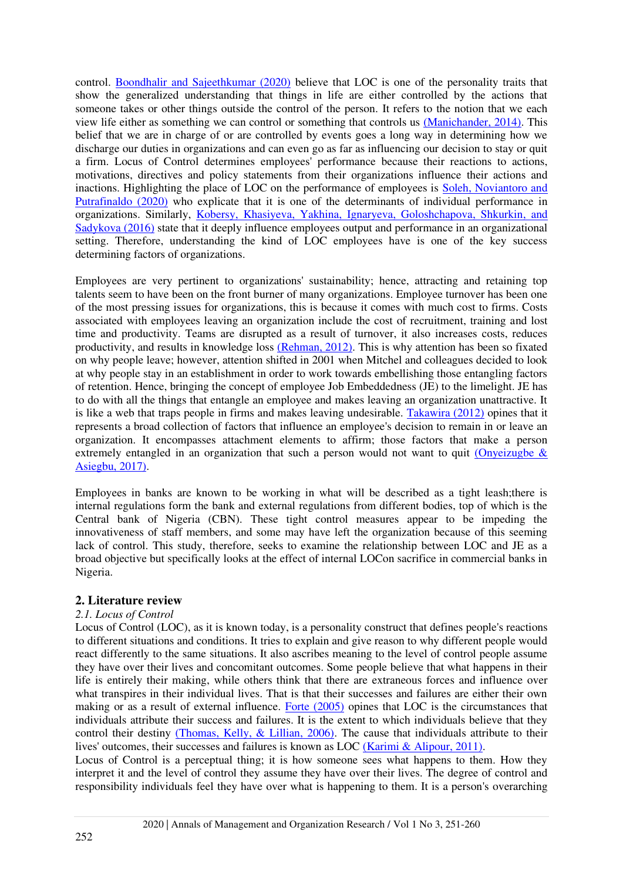control. [Boondhalir and Sajeethkumar \(2020\)](#page-7-0) believe that LOC is one of the personality traits that show the generalized understanding that things in life are either controlled by the actions that someone takes or other things outside the control of the person. It refers to the notion that we each view life either as something we can control or something that controls us [\(Manichander, 2014\).](#page-8-0) This belief that we are in charge of or are controlled by events goes a long way in determining how we discharge our duties in organizations and can even go as far as influencing our decision to stay or quit a firm. Locus of Control determines employees' performance because their reactions to actions, motivations, directives and policy statements from their organizations influence their actions and inactions. Highlighting the place of LOC on the performance of employees is [Soleh, Noviantoro and](#page-8-1)  [Putrafinaldo \(2020\)](#page-8-1) who explicate that it is one of the determinants of individual performance in organizations. Similarly, [Kobersy, Khasiyeva, Yakhina, Ignaryeva, Goloshchapova, Shkurkin, and](#page-8-2)  [Sadykova \(2016\)](#page-8-2) state that it deeply influence employees output and performance in an organizational setting. Therefore, understanding the kind of LOC employees have is one of the key success determining factors of organizations.

Employees are very pertinent to organizations' sustainability; hence, attracting and retaining top talents seem to have been on the front burner of many organizations. Employee turnover has been one of the most pressing issues for organizations, this is because it comes with much cost to firms. Costs associated with employees leaving an organization include the cost of recruitment, training and lost time and productivity. Teams are disrupted as a result of turnover, it also increases costs, reduces productivity, and results in knowledge loss [\(Rehman, 2012\).](#page-8-3) This is why attention has been so fixated on why people leave; however, attention shifted in 2001 when Mitchel and colleagues decided to look at why people stay in an establishment in order to work towards embellishing those entangling factors of retention. Hence, bringing the concept of employee Job Embeddedness (JE) to the limelight. JE has to do with all the things that entangle an employee and makes leaving an organization unattractive. It is like a web that traps people in firms and makes leaving undesirable. [Takawira \(2012\)](#page-9-0) opines that it represents a broad collection of factors that influence an employee's decision to remain in or leave an organization. It encompasses attachment elements to affirm; those factors that make a person extremely entangled in an organization that such a person would not want to quit (Onyeizugbe  $\&$ [Asiegbu, 2017\).](#page-8-4)

Employees in banks are known to be working in what will be described as a tight leash;there is internal regulations form the bank and external regulations from different bodies, top of which is the Central bank of Nigeria (CBN). These tight control measures appear to be impeding the innovativeness of staff members, and some may have left the organization because of this seeming lack of control. This study, therefore, seeks to examine the relationship between LOC and JE as a broad objective but specifically looks at the effect of internal LOCon sacrifice in commercial banks in Nigeria.

# **2. Literature review**

# *2.1. Locus of Control*

Locus of Control (LOC), as it is known today, is a personality construct that defines people's reactions to different situations and conditions. It tries to explain and give reason to why different people would react differently to the same situations. It also ascribes meaning to the level of control people assume they have over their lives and concomitant outcomes. Some people believe that what happens in their life is entirely their making, while others think that there are extraneous forces and influence over what transpires in their individual lives. That is that their successes and failures are either their own making or as a result of external influence. [Forte \(2005\)](#page-7-1) opines that LOC is the circumstances that individuals attribute their success and failures. It is the extent to which individuals believe that they control their destiny [\(Thomas, Kelly, & Lillian, 2006\).](#page-9-1) The cause that individuals attribute to their lives' outcomes, their successes and failures is known as LOC [\(Karimi & Alipour, 2011\).](#page-8-5)

Locus of Control is a perceptual thing; it is how someone sees what happens to them. How they interpret it and the level of control they assume they have over their lives. The degree of control and responsibility individuals feel they have over what is happening to them. It is a person's overarching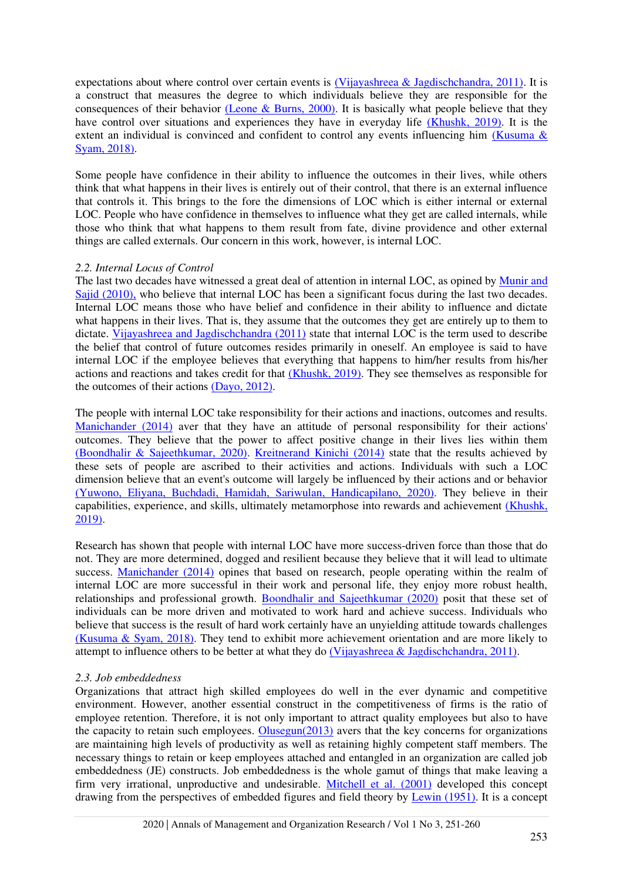expectations about where control over certain events is [\(Vijayashreea & Jagdischchandra, 2011\).](#page-9-2) It is a construct that measures the degree to which individuals believe they are responsible for the consequences of their behavior [\(Leone & Burns, 2000\).](#page-8-6) It is basically what people believe that they have control over situations and experiences they have in everyday life [\(Khushk, 2019\).](#page-8-7) It is the extent an individual is convinced and confident to control any events influencing him (Kusuma  $\&$ [Syam, 2018\).](#page-8-8)

Some people have confidence in their ability to influence the outcomes in their lives, while others think that what happens in their lives is entirely out of their control, that there is an external influence that controls it. This brings to the fore the dimensions of LOC which is either internal or external LOC. People who have confidence in themselves to influence what they get are called internals, while those who think that what happens to them result from fate, divine providence and other external things are called externals. Our concern in this work, however, is internal LOC.

#### *2.2. Internal Locus of Control*

The last two decades have witnessed a great deal of attention in internal LOC, as opined by [Munir and](#page-8-9)  [Sajid \(2010\),](#page-8-9) who believe that internal LOC has been a significant focus during the last two decades. Internal LOC means those who have belief and confidence in their ability to influence and dictate what happens in their lives. That is, they assume that the outcomes they get are entirely up to them to dictate. [Vijayashreea and Jagdischchandra \(2011\)](#page-9-2) state that internal LOC is the term used to describe the belief that control of future outcomes resides primarily in oneself. An employee is said to have internal LOC if the employee believes that everything that happens to him/her results from his/her actions and reactions and takes credit for that [\(Khushk, 2019\).](#page-8-7) They see themselves as responsible for the outcomes of their actions [\(Dayo, 2012\).](#page-7-2)

The people with internal LOC take responsibility for their actions and inactions, outcomes and results. [Manichander \(2014\)](#page-8-0) aver that they have an attitude of personal responsibility for their actions' outcomes. They believe that the power to affect positive change in their lives lies within them [\(Boondhalir & Sajeethkumar, 2020\).](#page-7-0) [Kreitnerand Kinichi \(2014\)](#page-8-10) state that the results achieved by these sets of people are ascribed to their activities and actions. Individuals with such a LOC dimension believe that an event's outcome will largely be influenced by their actions and or behavior [\(Yuwono, Eliyana, Buchdadi, Hamidah, Sariwulan, Handicapilano, 2020\).](#page-9-3) They believe in their capabilities, experience, and skills, ultimately metamorphose into rewards and achievement [\(Khushk,](#page-8-7)  [2019\).](#page-8-7)

Research has shown that people with internal LOC have more success-driven force than those that do not. They are more determined, dogged and resilient because they believe that it will lead to ultimate success. [Manichander \(2014\)](#page-8-0) opines that based on research, people operating within the realm of internal LOC are more successful in their work and personal life, they enjoy more robust health, relationships and professional growth. [Boondhalir and Sajeethkumar \(2020\)](#page-7-0) posit that these set of individuals can be more driven and motivated to work hard and achieve success. Individuals who believe that success is the result of hard work certainly have an unyielding attitude towards challenges [\(Kusuma & Syam, 2018\).](#page-8-8) They tend to exhibit more achievement orientation and are more likely to attempt to influence others to be better at what they do [\(Vijayashreea & Jagdischchandra, 2011\).](#page-9-2)

# *2.3. Job embeddedness*

Organizations that attract high skilled employees do well in the ever dynamic and competitive environment. However, another essential construct in the competitiveness of firms is the ratio of employee retention. Therefore, it is not only important to attract quality employees but also to have the capacity to retain such employees. [Olusegun\(2013\)](#page-8-11) avers that the key concerns for organizations are maintaining high levels of productivity as well as retaining highly competent staff members. The necessary things to retain or keep employees attached and entangled in an organization are called job embeddedness (JE) constructs. Job embeddedness is the whole gamut of things that make leaving a firm very irrational, unproductive and undesirable. [Mitchell et al. \(2001\)](#page-8-12) developed this concept drawing from the perspectives of embedded figures and field theory by [Lewin \(1951\).](#page-8-13) It is a concept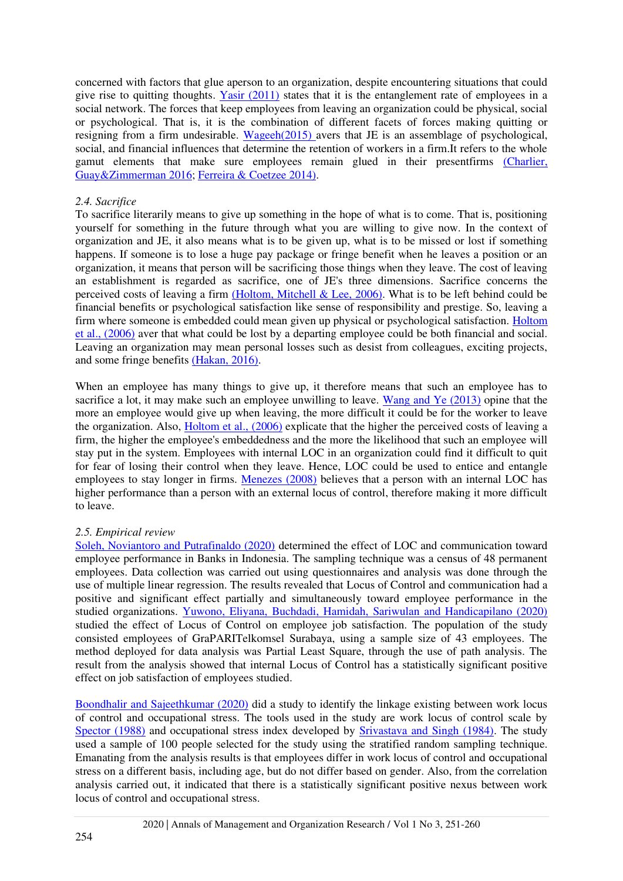concerned with factors that glue aperson to an organization, despite encountering situations that could give rise to quitting thoughts. [Yasir \(2011\)](#page-9-4) states that it is the entanglement rate of employees in a social network. The forces that keep employees from leaving an organization could be physical, social or psychological. That is, it is the combination of different facets of forces making quitting or resigning from a firm undesirable. [Wageeh\(2015\)](#page-9-5) avers that JE is an assemblage of psychological, social, and financial influences that determine the retention of workers in a firm.It refers to the whole gamut elements that make sure employees remain glued in their presentfirms [\(Charlier,](#page-7-3)  [Guay&Zimmerman 2016;](#page-7-3) [Ferreira & Coetzee 2014\).](#page-7-4)

#### *2.4. Sacrifice*

To sacrifice literarily means to give up something in the hope of what is to come. That is, positioning yourself for something in the future through what you are willing to give now. In the context of organization and JE, it also means what is to be given up, what is to be missed or lost if something happens. If someone is to lose a huge pay package or fringe benefit when he leaves a position or an organization, it means that person will be sacrificing those things when they leave. The cost of leaving an establishment is regarded as sacrifice, one of JE's three dimensions. Sacrifice concerns the perceived costs of leaving a firm [\(Holtom, Mitchell & Lee, 2006\).](#page-7-5) What is to be left behind could be financial benefits or psychological satisfaction like sense of responsibility and prestige. So, leaving a firm where someone is embedded could mean given up physical or psychological satisfaction. [Holtom](#page-7-5)  [et al., \(2006\)](#page-7-5) aver that what could be lost by a departing employee could be both financial and social. Leaving an organization may mean personal losses such as desist from colleagues, exciting projects, and some fringe benefits [\(Hakan, 2016\).](#page-7-6)

When an employee has many things to give up, it therefore means that such an employee has to sacrifice a lot, it may make such an employee unwilling to leave. [Wang and Ye \(2013\)](#page-9-6) opine that the more an employee would give up when leaving, the more difficult it could be for the worker to leave the organization. Also, [Holtom et al., \(2006\)](#page-7-5) explicate that the higher the perceived costs of leaving a firm, the higher the employee's embeddedness and the more the likelihood that such an employee will stay put in the system. Employees with internal LOC in an organization could find it difficult to quit for fear of losing their control when they leave. Hence, LOC could be used to entice and entangle employees to stay longer in firms. [Menezes \(2008\)](#page-8-14) believes that a person with an internal LOC has higher performance than a person with an external locus of control, therefore making it more difficult to leave.

# *2.5. Empirical review*

[Soleh, Noviantoro and Putrafinaldo \(2020\)](#page-8-1) determined the effect of LOC and communication toward employee performance in Banks in Indonesia. The sampling technique was a census of 48 permanent employees. Data collection was carried out using questionnaires and analysis was done through the use of multiple linear regression. The results revealed that Locus of Control and communication had a positive and significant effect partially and simultaneously toward employee performance in the studied organizations. [Yuwono, Eliyana, Buchdadi, Hamidah, Sariwulan and Handicapilano \(2020\)](#page-9-3) studied the effect of Locus of Control on employee job satisfaction. The population of the study consisted employees of GraPARITelkomsel Surabaya, using a sample size of 43 employees. The method deployed for data analysis was Partial Least Square, through the use of path analysis. The result from the analysis showed that internal Locus of Control has a statistically significant positive [effect on job satisfaction of employees studied.](#page-7-0) 

[Boondhalir and Sajeethkumar \(2020\)](#page-7-0) did a study to identify the linkage existing between work locus of control and occupational stress. The tools used in the study are work locus of control scale by [Spector \(1988\)](#page-9-7) and occupational stress index developed by [Srivastava and Singh \(1984\).](#page-9-8) The study used a sample of 100 people selected for the study using the stratified random sampling technique. Emanating from the analysis results is that employees differ in work locus of control and occupational stress on a different basis, including age, but do not differ based on gender. Also, from the correlation analysis carried out, it indicated that there is a statistically significant positive nexus between work locus of control and occupational stress.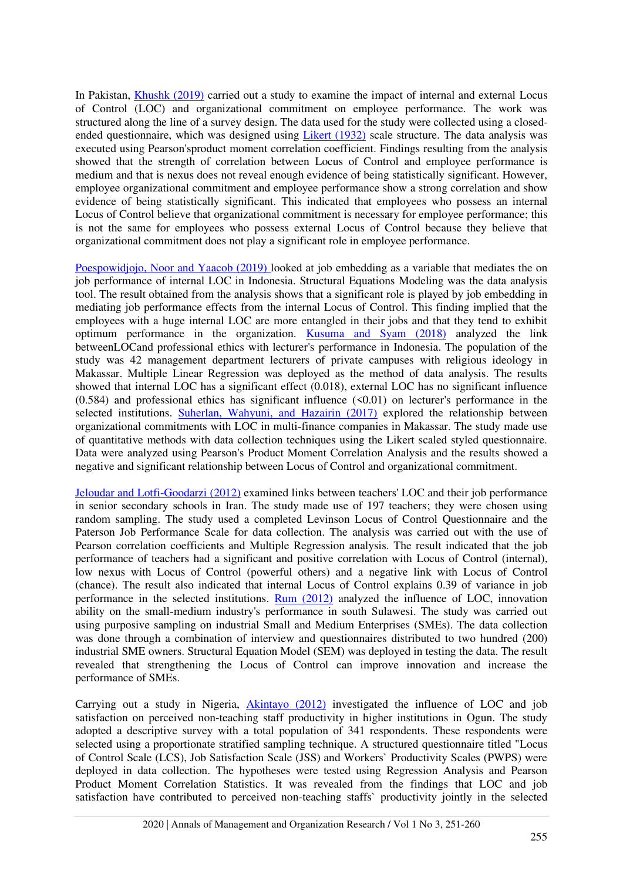In Pakistan, [Khushk \(2019\)](#page-8-7) carried out a study to examine the impact of internal and external Locus of Control (LOC) and organizational commitment on employee performance. The work was structured along the line of a survey design. The data used for the study were collected using a closedended questionnaire, which was designed using [Likert \(1932\)](#page-8-15) scale structure. The data analysis was executed using Pearson'sproduct moment correlation coefficient. Findings resulting from the analysis showed that the strength of correlation between Locus of Control and employee performance is medium and that is nexus does not reveal enough evidence of being statistically significant. However, employee organizational commitment and employee performance show a strong correlation and show evidence of being statistically significant. This indicated that employees who possess an internal Locus of Control believe that organizational commitment is necessary for employee performance; this is not the same for employees who possess external Locus of Control because they believe that organizational commitment does not play a significant role in employee performance.

[Poespowidjojo, Noor and Yaacob \(2019\)](#page-8-16) looked at job embedding as a variable that mediates the on job performance of internal LOC in Indonesia. Structural Equations Modeling was the data analysis tool. The result obtained from the analysis shows that a significant role is played by job embedding in mediating job performance effects from the internal Locus of Control. This finding implied that the employees with a huge internal LOC are more entangled in their jobs and that they tend to exhibit optimum performance in the organization. [Kusuma and Syam \(2018\)](#page-8-8) analyzed the link betweenLOCand professional ethics with lecturer's performance in Indonesia. The population of the study was 42 management department lecturers of private campuses with religious ideology in Makassar. Multiple Linear Regression was deployed as the method of data analysis. The results showed that internal LOC has a significant effect (0.018), external LOC has no significant influence  $(0.584)$  and professional ethics has significant influence  $(50.01)$  on lecturer's performance in the selected institutions. [Suherlan, Wahyuni, and Hazairin \(2017\)](#page-9-7) explored the relationship between organizational commitments with LOC in multi-finance companies in Makassar. The study made use of quantitative methods with data collection techniques using the Likert scaled styled questionnaire. Data were analyzed using Pearson's Product Moment Correlation Analysis and the results showed a negative and significant relationship between Locus of Control and organizational commitment.

[Jeloudar and Lotfi-Goodarzi \(2012\)](#page-8-17) examined links between teachers' LOC and their job performance in senior secondary schools in Iran. The study made use of 197 teachers; they were chosen using random sampling. The study used a completed Levinson Locus of Control Questionnaire and the Paterson Job Performance Scale for data collection. The analysis was carried out with the use of Pearson correlation coefficients and Multiple Regression analysis. The result indicated that the job performance of teachers had a significant and positive correlation with Locus of Control (internal), low nexus with Locus of Control (powerful others) and a negative link with Locus of Control (chance). The result also indicated that internal Locus of Control explains 0.39 of variance in job performance in the selected institutions. [Rum \(2012\)](#page-8-18) analyzed the influence of LOC, innovation ability on the small-medium industry's performance in south Sulawesi. The study was carried out using purposive sampling on industrial Small and Medium Enterprises (SMEs). The data collection was done through a combination of interview and questionnaires distributed to two hundred (200) industrial SME owners. Structural Equation Model (SEM) was deployed in testing the data. The result revealed that strengthening the Locus of Control can improve innovation and increase the performance of SMEs.

Carrying out a study in Nigeria, [Akintayo \(2012\)](#page-7-0) investigated the influence of LOC and job satisfaction on perceived non-teaching staff productivity in higher institutions in Ogun. The study adopted a descriptive survey with a total population of 341 respondents. These respondents were selected using a proportionate stratified sampling technique. A structured questionnaire titled "Locus of Control Scale (LCS), Job Satisfaction Scale (JSS) and Workers` Productivity Scales (PWPS) were deployed in data collection. The hypotheses were tested using Regression Analysis and Pearson Product Moment Correlation Statistics. It was revealed from the findings that LOC and job satisfaction have contributed to perceived non-teaching staffs` productivity jointly in the selected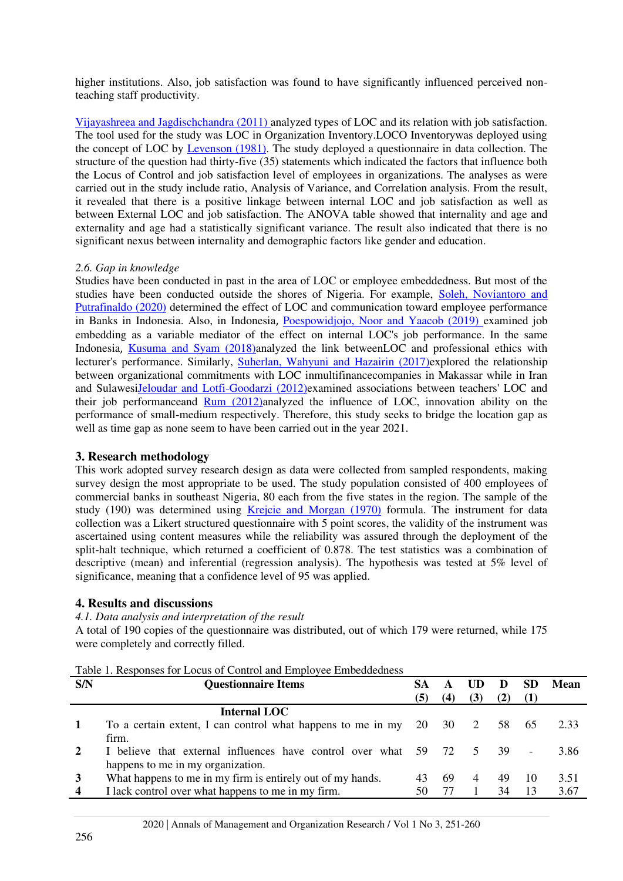higher institutions. Also, job satisfaction was found to have significantly influenced perceived nonteaching staff productivity.

[Vijayashreea and Jagdischchandra \(2011\)](#page-9-2) analyzed types of LOC and its relation with job satisfaction. The tool used for the study was LOC in Organization Inventory.LOCO Inventorywas deployed using the concept of LOC by [Levenson \(1981\).](#page-8-19) The study deployed a questionnaire in data collection. The structure of the question had thirty-five (35) statements which indicated the factors that influence both the Locus of Control and job satisfaction level of employees in organizations. The analyses as were carried out in the study include ratio, Analysis of Variance, and Correlation analysis. From the result, it revealed that there is a positive linkage between internal LOC and job satisfaction as well as between External LOC and job satisfaction. The ANOVA table showed that internality and age and externality and age had a statistically significant variance. The result also indicated that there is no significant nexus between internality and demographic factors like gender and education.

#### *2.6. Gap in knowledge*

Studies have been conducted in past in the area of LOC or employee embeddedness. But most of the studies have been conducted outside the shores of Nigeria. For example, Soleh, Noviantoro and [Putrafinaldo \(2020\)](#page-8-1) determined the effect of LOC and communication toward employee performance in Banks in Indonesia. Also, in Indonesia, [Poespowidjojo, Noor and Yaacob \(2019\)](#page-8-16) examined job embedding as a variable mediator of the effect on internal LOC's job performance. In the same Indonesia, [Kusuma and Syam \(2018\)a](#page-8-8)nalyzed the link betweenLOC and professional ethics with lecturer's performance. Similarly, [Suherlan, Wahyuni and Hazairin \(2017\)e](#page-9-7)xplored the relationship between organizational commitments with LOC inmultifinancecompanies in Makassar while in Iran and Sulawes[iJeloudar and Lotfi-Goodarzi \(2012\)e](#page-8-17)xamined associations between teachers' LOC and their job performanceand [Rum \(2012\)a](#page-8-18)nalyzed the influence of LOC, innovation ability on the performance of small-medium respectively. Therefore, this study seeks to bridge the location gap as well as time gap as none seem to have been carried out in the year 2021.

# **3. Research methodology**

This work adopted survey research design as data were collected from sampled respondents, making survey design the most appropriate to be used. The study population consisted of 400 employees of commercial banks in southeast Nigeria, 80 each from the five states in the region. The sample of the study (190) was determined using [Krejcie and Morgan \(1970\)](#page-8-20) formula. The instrument for data collection was a Likert structured questionnaire with 5 point scores, the validity of the instrument was ascertained using content measures while the reliability was assured through the deployment of the split-halt technique, which returned a coefficient of 0.878. The test statistics was a combination of descriptive (mean) and inferential (regression analysis). The hypothesis was tested at 5% level of significance, meaning that a confidence level of 95 was applied.

# **4. Results and discussions**

# *4.1. Data analysis and interpretation of the result*

A total of 190 copies of the questionnaire was distributed, out of which 179 were returned, while 175 were completely and correctly filled.

Table 1. Responses for Locus of Control and Employee Embeddedness

| S/N                     | <b>Questionnaire Items</b>                                        |     |     | UD             | D     | <b>SD</b> | Mean |
|-------------------------|-------------------------------------------------------------------|-----|-----|----------------|-------|-----------|------|
|                         |                                                                   | (5) | (4) | (3)            | (2)   |           |      |
|                         | Internal LOC                                                      |     |     |                |       |           |      |
|                         | To a certain extent, I can control what happens to me in my 20 30 |     |     | 2              | 58 65 |           | 2.33 |
|                         | firm.                                                             |     |     |                |       |           |      |
| <sup>2</sup>            | I believe that external influences have control over what 59 72   |     |     | $\overline{5}$ | -39.  |           | 3.86 |
|                         | happens to me in my organization.                                 |     |     |                |       |           |      |
|                         | What happens to me in my firm is entirely out of my hands.        | 43  | 69  | 4              | 49    | 10        | 3.51 |
| $\overline{\mathbf{4}}$ | I lack control over what happens to me in my firm.                | 50  |     |                | 34    | 13        | 3.67 |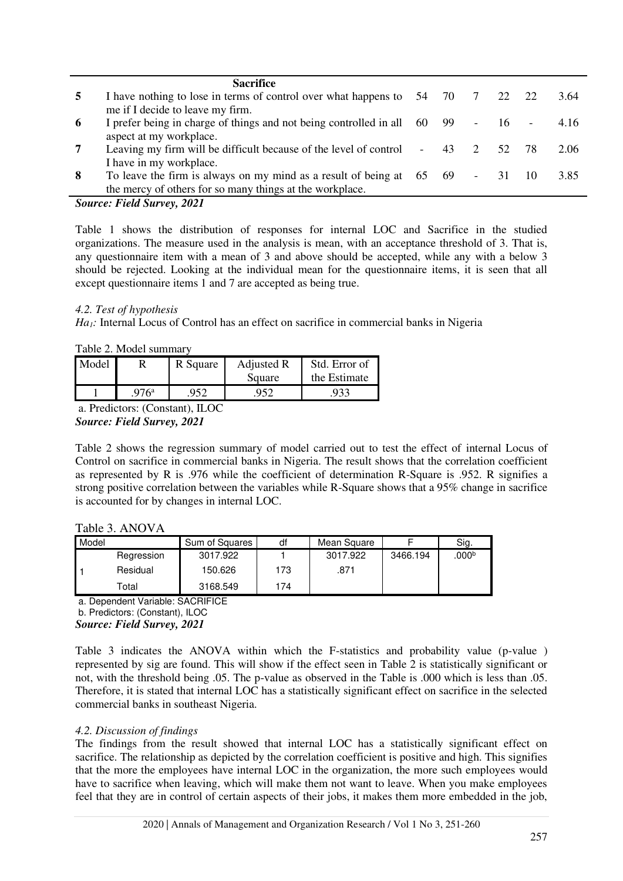|                 | <b>Sacrifice</b>                                                                  |  |                |     |        |      |
|-----------------|-----------------------------------------------------------------------------------|--|----------------|-----|--------|------|
| 5               | I have nothing to lose in terms of control over what happens to $54$ 70 $7$ 22 22 |  |                |     |        | 3.64 |
|                 | me if I decide to leave my firm.                                                  |  |                |     |        |      |
| -6              | I prefer being in charge of things and not being controlled in all 60 99 -        |  |                | 16  | $\sim$ | 4.16 |
|                 | aspect at my workplace.                                                           |  |                |     |        |      |
| $7\phantom{.0}$ | Leaving my firm will be difficult because of the level of control - 43            |  | $\overline{2}$ | 52. |        | 2.06 |
|                 | I have in my workplace.                                                           |  |                |     |        |      |
| 8               | To leave the firm is always on my mind as a result of being at $65$ $69$ - 31     |  |                |     |        | 3.85 |
|                 | the mercy of others for so many things at the workplace.                          |  |                |     |        |      |

# *Source: Field Survey, 2021*

Table 1 shows the distribution of responses for internal LOC and Sacrifice in the studied organizations. The measure used in the analysis is mean, with an acceptance threshold of 3. That is, any questionnaire item with a mean of 3 and above should be accepted, while any with a below 3 should be rejected. Looking at the individual mean for the questionnaire items, it is seen that all except questionnaire items 1 and 7 are accepted as being true.

#### *4.2. Test of hypothesis*

*Ha1:* Internal Locus of Control has an effect on sacrifice in commercial banks in Nigeria

Table 2. Model summary

| Model |               | R Square | Adjusted R | Std. Error of |
|-------|---------------|----------|------------|---------------|
|       |               |          | Square     | the Estimate  |
|       | $976^{\rm a}$ | 952      | 952        |               |

a. Predictors: (Constant), ILOC *Source: Field Survey, 2021* 

Table 2 shows the regression summary of model carried out to test the effect of internal Locus of Control on sacrifice in commercial banks in Nigeria. The result shows that the correlation coefficient as represented by R is .976 while the coefficient of determination R-Square is .952. R signifies a strong positive correlation between the variables while R-Square shows that a 95% change in sacrifice is accounted for by changes in internal LOC.

#### Table 3. ANOVA

| Model |            | Sum of Squares | df  | Mean Square |          | Sig.              |
|-------|------------|----------------|-----|-------------|----------|-------------------|
|       | Regression | 3017.922       |     | 3017.922    | 3466.194 | .000 <sup>b</sup> |
|       | Residual   | 150.626        | 173 | .871        |          |                   |
|       | Total      | 3168.549       | 174 |             |          |                   |

a. Dependent Variable: SACRIFICE

#### b. Predictors: (Constant), ILOC *Source: Field Survey, 2021*

Table 3 indicates the ANOVA within which the F-statistics and probability value (p-value ) represented by sig are found. This will show if the effect seen in Table 2 is statistically significant or not, with the threshold being .05. The p-value as observed in the Table is .000 which is less than .05. Therefore, it is stated that internal LOC has a statistically significant effect on sacrifice in the selected commercial banks in southeast Nigeria.

# *4.2. Discussion of findings*

The findings from the result showed that internal LOC has a statistically significant effect on sacrifice. The relationship as depicted by the correlation coefficient is positive and high. This signifies that the more the employees have internal LOC in the organization, the more such employees would have to sacrifice when leaving, which will make them not want to leave. When you make employees feel that they are in control of certain aspects of their jobs, it makes them more embedded in the job,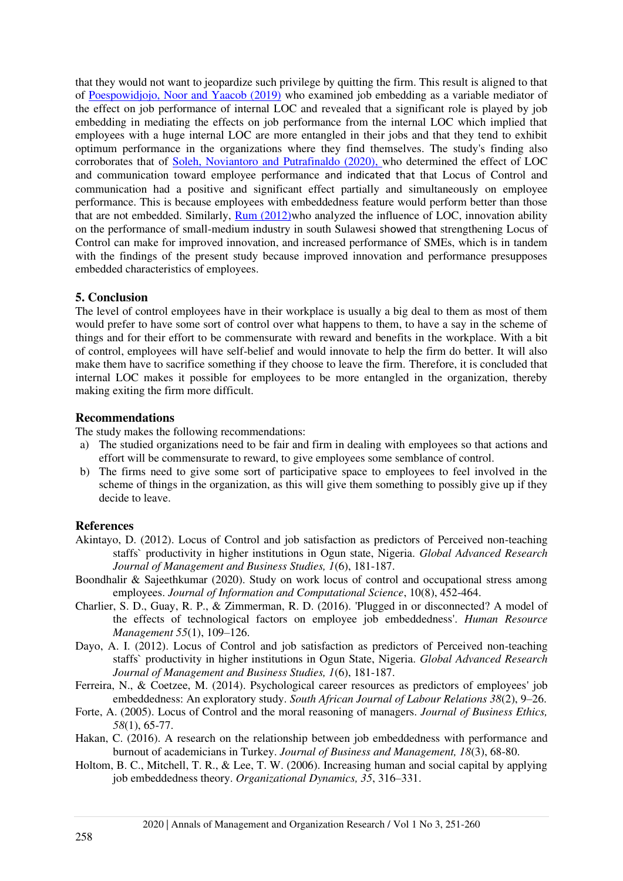that they would not want to jeopardize such privilege by quitting the firm. This result is aligned to that of [Poespowidjojo, Noor and Yaacob \(2019\)](#page-8-16) who examined job embedding as a variable mediator of the effect on job performance of internal LOC and revealed that a significant role is played by job embedding in mediating the effects on job performance from the internal LOC which implied that employees with a huge internal LOC are more entangled in their jobs and that they tend to exhibit optimum performance in the organizations where they find themselves. The study's finding also corroborates that of [Soleh, Noviantoro and Putrafinaldo \(2020\),](#page-8-1) who determined the effect of LOC and communication toward employee performance and indicated that that Locus of Control and communication had a positive and significant effect partially and simultaneously on employee performance. This is because employees with embeddedness feature would perform better than those that are not embedded. Similarly, [Rum \(2012\)w](#page-8-18)ho analyzed the influence of LOC, innovation ability on the performance of small-medium industry in south Sulawesi showed that strengthening Locus of Control can make for improved innovation, and increased performance of SMEs, which is in tandem with the findings of the present study because improved innovation and performance presupposes embedded characteristics of employees.

#### **5. Conclusion**

The level of control employees have in their workplace is usually a big deal to them as most of them would prefer to have some sort of control over what happens to them, to have a say in the scheme of things and for their effort to be commensurate with reward and benefits in the workplace. With a bit of control, employees will have self-belief and would innovate to help the firm do better. It will also make them have to sacrifice something if they choose to leave the firm. Therefore, it is concluded that internal LOC makes it possible for employees to be more entangled in the organization, thereby making exiting the firm more difficult.

# **Recommendations**

The study makes the following recommendations:

- a) The studied organizations need to be fair and firm in dealing with employees so that actions and effort will be commensurate to reward, to give employees some semblance of control.
- b) The firms need to give some sort of participative space to employees to feel involved in the scheme of things in the organization, as this will give them something to possibly give up if they decide to leave.

# **References**

- <span id="page-7-0"></span>Akintayo, D. (2012). Locus of Control and job satisfaction as predictors of Perceived non-teaching staffs` productivity in higher institutions in Ogun state, Nigeria. *Global Advanced Research Journal of Management and Business Studies, 1*(6), 181-187.
- Boondhalir & Sajeethkumar (2020). Study on work locus of control and occupational stress among employees. *Journal of Information and Computational Science*, 10(8), 452-464.
- <span id="page-7-3"></span>Charlier, S. D., Guay, R. P., & Zimmerman, R. D. (2016). 'Plugged in or disconnected? A model of the effects of technological factors on employee job embeddedness'. *Human Resource Management 55*(1), 109–126.
- <span id="page-7-2"></span>Dayo, A. I. (2012). Locus of Control and job satisfaction as predictors of Perceived non-teaching staffs` productivity in higher institutions in Ogun State, Nigeria. *Global Advanced Research Journal of Management and Business Studies, 1*(6), 181-187.
- <span id="page-7-4"></span>Ferreira, N., & Coetzee, M. (2014). Psychological career resources as predictors of employees' job embeddedness: An exploratory study. *South African Journal of Labour Relations 38*(2), 9–26.
- <span id="page-7-1"></span>Forte, A. (2005). Locus of Control and the moral reasoning of managers. *Journal of Business Ethics, 58*(1), 65-77.
- <span id="page-7-6"></span>Hakan, C. (2016). A research on the relationship between job embeddedness with performance and burnout of academicians in Turkey. *Journal of Business and Management, 18*(3), 68-80.
- <span id="page-7-5"></span>Holtom, B. C., Mitchell, T. R., & Lee, T. W. (2006). Increasing human and social capital by applying job embeddedness theory. *Organizational Dynamics, 35*, 316–331.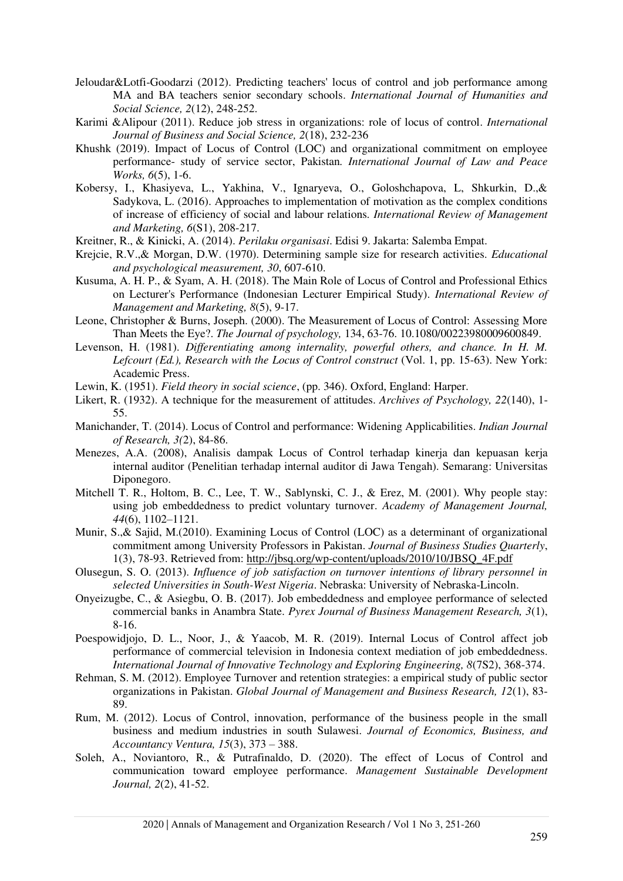- <span id="page-8-17"></span>Jeloudar&Lotfi-Goodarzi (2012). Predicting teachers' locus of control and job performance among MA and BA teachers senior secondary schools. *International Journal of Humanities and Social Science, 2*(12), 248-252.
- <span id="page-8-5"></span>Karimi &Alipour (2011). Reduce job stress in organizations: role of locus of control. *International Journal of Business and Social Science, 2*(18), 232-236
- <span id="page-8-7"></span>Khushk (2019). Impact of Locus of Control (LOC) and organizational commitment on employee performance- study of service sector, Pakistan*. International Journal of Law and Peace Works, 6*(5), 1-6.
- <span id="page-8-2"></span>Kobersy, I., Khasiyeva, L., Yakhina, V., Ignaryeva, O., Goloshchapova, L, Shkurkin, D.,& Sadykova, L. (2016). Approaches to implementation of motivation as the complex conditions of increase of efficiency of social and labour relations. *International Review of Management and Marketing, 6*(S1), 208-217.
- <span id="page-8-10"></span>Kreitner, R., & Kinicki, A. (2014). *Perilaku organisasi*. Edisi 9. Jakarta: Salemba Empat.
- <span id="page-8-20"></span>Krejcie, R.V.,& Morgan, D.W. (1970). Determining sample size for research activities. *Educational and psychological measurement, 30*, 607-610.
- <span id="page-8-8"></span>Kusuma, A. H. P., & Syam, A. H. (2018). The Main Role of Locus of Control and Professional Ethics on Lecturer's Performance (Indonesian Lecturer Empirical Study). *International Review of Management and Marketing, 8*(5), 9-17.
- <span id="page-8-13"></span><span id="page-8-6"></span>Leone, Christopher & Burns, Joseph. (2000). The Measurement of Locus of Control: Assessing More Than Meets the Eye?. *The Journal of psychology,* 134, 63-76. 10.1080/00223980009600849.
- <span id="page-8-19"></span>Levenson, H. (1981). *Differentiating among internality, powerful others, and chance. In H. M. Lefcourt (Ed.), Research with the Locus of Control construct* (Vol. 1, pp. 15-63). New York: Academic Press.
- Lewin, K. (1951). *Field theory in social science*, (pp. 346). Oxford, England: Harper.
- <span id="page-8-15"></span>Likert, R. (1932). A technique for the measurement of attitudes. *Archives of Psychology, 22*(140), 1- 55.
- <span id="page-8-0"></span>Manichander, T. (2014). Locus of Control and performance: Widening Applicabilities. *Indian Journal of Research, 3(*2), 84-86.
- <span id="page-8-14"></span>Menezes, A.A. (2008), Analisis dampak Locus of Control terhadap kinerja dan kepuasan kerja internal auditor (Penelitian terhadap internal auditor di Jawa Tengah). Semarang: Universitas Diponegoro.
- <span id="page-8-12"></span>Mitchell T. R., Holtom, B. C., Lee, T. W., Sablynski, C. J., & Erez, M. (2001). Why people stay: using job embeddedness to predict voluntary turnover. *Academy of Management Journal, 44*(6), 1102–1121.
- <span id="page-8-9"></span>Munir, S.,& Sajid, M.(2010). Examining Locus of Control (LOC) as a determinant of organizational commitment among University Professors in Pakistan. *Journal of Business Studies Quarterly*, 1(3), 78-93. Retrieved from: [http://jbsq.org/wp-content/uploads/2010/10/JBSQ\\_4F.pdf](http://jbsq.org/wp-content/uploads/2010/10/JBSQ_4F.pdf)
- <span id="page-8-11"></span>Olusegun, S. O. (2013). *Influence of job satisfaction on turnover intentions of library personnel in selected Universities in South-West Nigeria*. Nebraska: University of Nebraska-Lincoln.
- <span id="page-8-4"></span>Onyeizugbe, C., & Asiegbu, O. B. (2017). Job embeddedness and employee performance of selected commercial banks in Anambra State. *Pyrex Journal of Business Management Research, 3*(1), 8-16.
- <span id="page-8-16"></span>Poespowidjojo, D. L., Noor, J., & Yaacob, M. R. (2019). Internal Locus of Control affect job performance of commercial television in Indonesia context mediation of job embeddedness. *International Journal of Innovative Technology and Exploring Engineering, 8*(7S2), 368-374.
- <span id="page-8-3"></span>Rehman, S. M. (2012). Employee Turnover and retention strategies: a empirical study of public sector organizations in Pakistan. *Global Journal of Management and Business Research, 12*(1), 83- 89.
- <span id="page-8-18"></span>Rum, M. (2012). Locus of Control, innovation, performance of the business people in the small business and medium industries in south Sulawesi. *Journal of Economics, Business, and Accountancy Ventura, 15*(3), 373 – 388.
- <span id="page-8-1"></span>Soleh, A., Noviantoro, R., & Putrafinaldo, D. (2020). The effect of Locus of Control and communication toward employee performance. *Management Sustainable Development Journal, 2*(2), 41-52.